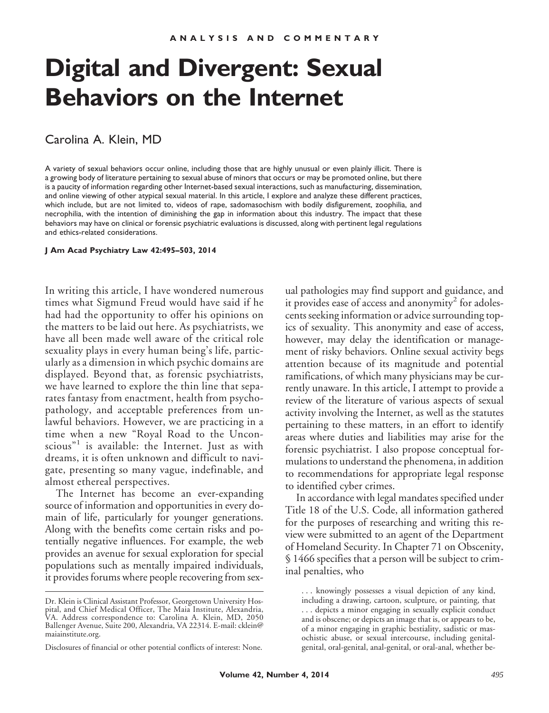# **Digital and Divergent: Sexual Behaviors on the Internet**

## Carolina A. Klein, MD

A variety of sexual behaviors occur online, including those that are highly unusual or even plainly illicit. There is a growing body of literature pertaining to sexual abuse of minors that occurs or may be promoted online, but there is a paucity of information regarding other Internet-based sexual interactions, such as manufacturing, dissemination, and online viewing of other atypical sexual material. In this article, I explore and analyze these different practices, which include, but are not limited to, videos of rape, sadomasochism with bodily disfigurement, zoophilia, and necrophilia, with the intention of diminishing the gap in information about this industry. The impact that these behaviors may have on clinical or forensic psychiatric evaluations is discussed, along with pertinent legal regulations and ethics-related considerations.

#### **J Am Acad Psychiatry Law 42:495–503, 2014**

In writing this article, I have wondered numerous times what Sigmund Freud would have said if he had had the opportunity to offer his opinions on the matters to be laid out here. As psychiatrists, we have all been made well aware of the critical role sexuality plays in every human being's life, particularly as a dimension in which psychic domains are displayed. Beyond that, as forensic psychiatrists, we have learned to explore the thin line that separates fantasy from enactment, health from psychopathology, and acceptable preferences from unlawful behaviors. However, we are practicing in a time when a new "Royal Road to the Uncon $scious$ <sup>"1</sup> is available: the Internet. Just as with dreams, it is often unknown and difficult to navigate, presenting so many vague, indefinable, and almost ethereal perspectives.

The Internet has become an ever-expanding source of information and opportunities in every domain of life, particularly for younger generations. Along with the benefits come certain risks and potentially negative influences. For example, the web provides an avenue for sexual exploration for special populations such as mentally impaired individuals, it provides forums where people recovering from sexual pathologies may find support and guidance, and it provides ease of access and anonymity<sup>2</sup> for adolescents seeking information or advice surrounding topics of sexuality. This anonymity and ease of access, however, may delay the identification or management of risky behaviors. Online sexual activity begs attention because of its magnitude and potential ramifications, of which many physicians may be currently unaware. In this article, I attempt to provide a review of the literature of various aspects of sexual activity involving the Internet, as well as the statutes pertaining to these matters, in an effort to identify areas where duties and liabilities may arise for the forensic psychiatrist. I also propose conceptual formulations to understand the phenomena, in addition to recommendations for appropriate legal response to identified cyber crimes.

In accordance with legal mandates specified under Title 18 of the U.S. Code, all information gathered for the purposes of researching and writing this review were submitted to an agent of the Department of Homeland Security. In Chapter 71 on Obscenity, § 1466 specifies that a person will be subject to criminal penalties, who

Dr. Klein is Clinical Assistant Professor, Georgetown University Hospital, and Chief Medical Officer, The Maia Institute, Alexandria, VA. Address correspondence to: Carolina A. Klein, MD, 2050 Ballenger Avenue, Suite 200, Alexandria, VA 22314. E-mail: cklein@ maiainstitute.org.

Disclosures of financial or other potential conflicts of interest: None.

<sup>. . .</sup> knowingly possesses a visual depiction of any kind, including a drawing, cartoon, sculpture, or painting, that . . . depicts a minor engaging in sexually explicit conduct and is obscene; or depicts an image that is, or appears to be, of a minor engaging in graphic bestiality, sadistic or masochistic abuse, or sexual intercourse, including genitalgenital, oral-genital, anal-genital, or oral-anal, whether be-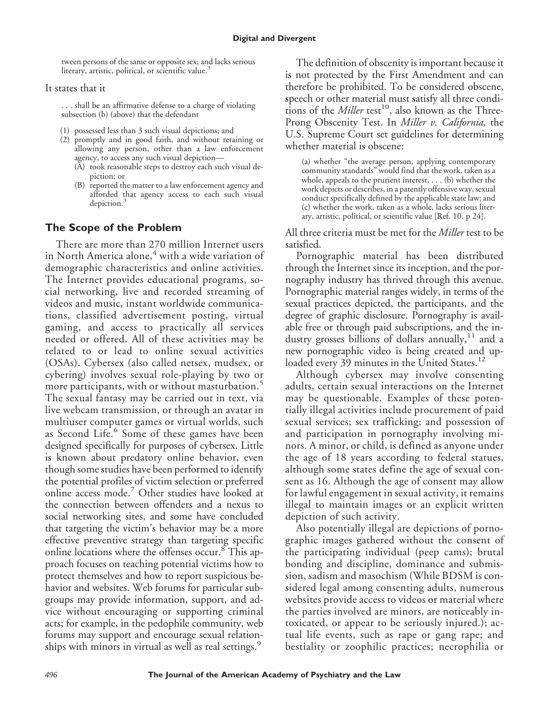tween persons of the same or opposite sex; and lacks serious literary, artistic, political, or scientific value.<sup>3</sup>

#### It states that it

. . . shall be an affirmative defense to a charge of violating subsection (b) (above) that the defendant

- (1) possessed less than 3 such visual depictions; and
- (2) promptly and in good faith, and without retaining or allowing any person, other than a law enforcement agency, to access any such visual depiction—
	- (A) took reasonable steps to destroy each such visual depiction; or
	- (B) reported the matter to a law enforcement agency and afforded that agency access to each such visual depiction.<sup>3</sup>

### **The Scope of the Problem**

There are more than 270 million Internet users in North America alone,<sup>4</sup> with a wide variation of demographic characteristics and online activities. The Internet provides educational programs, social networking, live and recorded streaming of videos and music, instant worldwide communications, classified advertisement posting, virtual gaming, and access to practically all services needed or offered. All of these activities may be related to or lead to online sexual activities (OSAs). Cybersex (also called netsex, mudsex, or cybering) involves sexual role-playing by two or more participants, with or without masturbation.<sup>5</sup> The sexual fantasy may be carried out in text, via live webcam transmission, or through an avatar in multiuser computer games or virtual worlds, such as Second Life.<sup>6</sup> Some of these games have been designed specifically for purposes of cybersex. Little is known about predatory online behavior, even though some studies have been performed to identify the potential profiles of victim selection or preferred online access mode.<sup>7</sup> Other studies have looked at the connection between offenders and a nexus to social networking sites, and some have concluded that targeting the victim's behavior may be a more effective preventive strategy than targeting specific online locations where the offenses occur.<sup>8</sup> This approach focuses on teaching potential victims how to protect themselves and how to report suspicious behavior and websites. Web forums for particular subgroups may provide information, support, and advice without encouraging or supporting criminal acts; for example, in the pedophile community, web forums may support and encourage sexual relationships with minors in virtual as well as real settings.<sup>9</sup>

The definition of obscenity is important because it is not protected by the First Amendment and can therefore be prohibited. To be considered obscene, speech or other material must satisfy all three conditions of the *Miller* test<sup>10</sup>, also known as the Three-Prong Obscenity Test. In *Miller v. California,* the U.S. Supreme Court set guidelines for determining whether material is obscene:

(a) whether "the average person, applying contemporary community standards" would find that the work, taken as a whole, appeals to the prurient interest, . . . (b) whether the work depicts or describes, in a patently offensive way, sexual conduct specifically defined by the applicable state law; and (c) whether the work, taken as a whole, lacks serious literary, artistic, political, or scientific value [Ref. 10, p 24].

All three criteria must be met for the *Miller* test to be satisfied.

Pornographic material has been distributed through the Internet since its inception, and the pornography industry has thrived through this avenue. Pornographic material ranges widely, in terms of the sexual practices depicted, the participants, and the degree of graphic disclosure. Pornography is available free or through paid subscriptions, and the industry grosses billions of dollars annually,  $11$  and a new pornographic video is being created and uploaded every 39 minutes in the United States.<sup>12</sup>

Although cybersex may involve consenting adults, certain sexual interactions on the Internet may be questionable. Examples of these potentially illegal activities include procurement of paid sexual services; sex trafficking; and possession of and participation in pornography involving minors. A minor, or child, is defined as anyone under the age of 18 years according to federal statues, although some states define the age of sexual consent as 16. Although the age of consent may allow for lawful engagement in sexual activity, it remains illegal to maintain images or an explicit written depiction of such activity.

Also potentially illegal are depictions of pornographic images gathered without the consent of the participating individual (peep cams); brutal bonding and discipline, dominance and submission, sadism and masochism (While BDSM is considered legal among consenting adults, numerous websites provide access to videos or material where the parties involved are minors, are noticeably intoxicated, or appear to be seriously injured.); actual life events, such as rape or gang rape; and bestiality or zoophilic practices; necrophilia or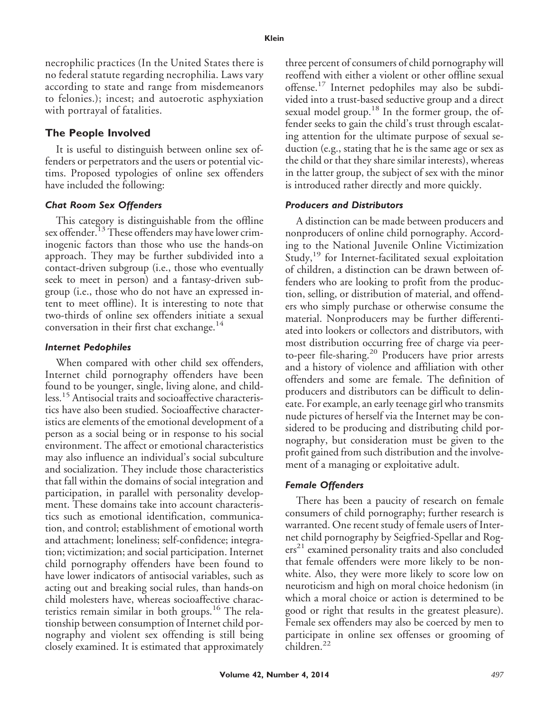necrophilic practices (In the United States there is no federal statute regarding necrophilia. Laws vary according to state and range from misdemeanors to felonies.); incest; and autoerotic asphyxiation with portrayal of fatalities.

## **The People Involved**

It is useful to distinguish between online sex offenders or perpetrators and the users or potential victims. Proposed typologies of online sex offenders have included the following:

#### *Chat Room Sex Offenders*

This category is distinguishable from the offline sex offender.<sup>13</sup>These offenders may have lower criminogenic factors than those who use the hands-on approach. They may be further subdivided into a contact-driven subgroup (i.e., those who eventually seek to meet in person) and a fantasy-driven subgroup (i.e., those who do not have an expressed intent to meet offline). It is interesting to note that two-thirds of online sex offenders initiate a sexual conversation in their first chat exchange.<sup>14</sup>

#### *Internet Pedophiles*

When compared with other child sex offenders, Internet child pornography offenders have been found to be younger, single, living alone, and childless.<sup>15</sup> Antisocial traits and socioaffective characteristics have also been studied. Socioaffective characteristics are elements of the emotional development of a person as a social being or in response to his social environment. The affect or emotional characteristics may also influence an individual's social subculture and socialization. They include those characteristics that fall within the domains of social integration and participation, in parallel with personality development. These domains take into account characteristics such as emotional identification, communication, and control; establishment of emotional worth and attachment; loneliness; self-confidence; integration; victimization; and social participation. Internet child pornography offenders have been found to have lower indicators of antisocial variables, such as acting out and breaking social rules, than hands-on child molesters have, whereas socioaffective characteristics remain similar in both groups.<sup>16</sup> The relationship between consumption of Internet child pornography and violent sex offending is still being closely examined. It is estimated that approximately three percent of consumers of child pornography will reoffend with either a violent or other offline sexual offense.<sup>17</sup> Internet pedophiles may also be subdivided into a trust-based seductive group and a direct sexual model group.<sup>18</sup> In the former group, the offender seeks to gain the child's trust through escalating attention for the ultimate purpose of sexual seduction (e.g., stating that he is the same age or sex as the child or that they share similar interests), whereas in the latter group, the subject of sex with the minor is introduced rather directly and more quickly.

#### *Producers and Distributors*

A distinction can be made between producers and nonproducers of online child pornography. According to the National Juvenile Online Victimization Study,<sup>19</sup> for Internet-facilitated sexual exploitation of children, a distinction can be drawn between offenders who are looking to profit from the production, selling, or distribution of material, and offenders who simply purchase or otherwise consume the material. Nonproducers may be further differentiated into lookers or collectors and distributors, with most distribution occurring free of charge via peerto-peer file-sharing.<sup>20</sup> Producers have prior arrests and a history of violence and affiliation with other offenders and some are female. The definition of producers and distributors can be difficult to delineate. For example, an early teenage girl who transmits nude pictures of herself via the Internet may be considered to be producing and distributing child pornography, but consideration must be given to the profit gained from such distribution and the involvement of a managing or exploitative adult.

#### *Female Offenders*

There has been a paucity of research on female consumers of child pornography; further research is warranted. One recent study of female users of Internet child pornography by Seigfried-Spellar and Rog $ers<sup>21</sup>$  examined personality traits and also concluded that female offenders were more likely to be nonwhite. Also, they were more likely to score low on neuroticism and high on moral choice hedonism (in which a moral choice or action is determined to be good or right that results in the greatest pleasure). Female sex offenders may also be coerced by men to participate in online sex offenses or grooming of children.<sup>22</sup>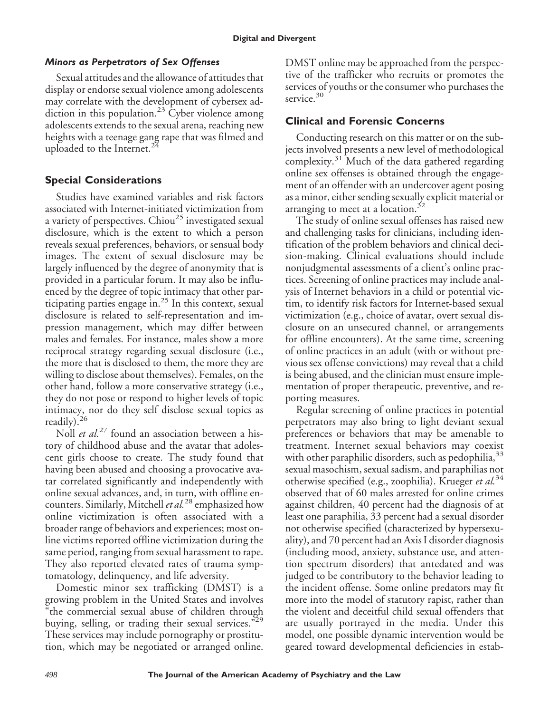## *Minors as Perpetrators of Sex Offenses*

Sexual attitudes and the allowance of attitudes that display or endorse sexual violence among adolescents may correlate with the development of cybersex addiction in this population.<sup>23</sup> Cyber violence among adolescents extends to the sexual arena, reaching new heights with a teenage gang rape that was filmed and uploaded to the Internet.<sup>24</sup>

# **Special Considerations**

Studies have examined variables and risk factors associated with Internet-initiated victimization from a variety of perspectives. Chiou<sup>25</sup> investigated sexual disclosure, which is the extent to which a person reveals sexual preferences, behaviors, or sensual body images. The extent of sexual disclosure may be largely influenced by the degree of anonymity that is provided in a particular forum. It may also be influenced by the degree of topic intimacy that other participating parties engage in.<sup>25</sup> In this context, sexual disclosure is related to self-representation and impression management, which may differ between males and females. For instance, males show a more reciprocal strategy regarding sexual disclosure (i.e., the more that is disclosed to them, the more they are willing to disclose about themselves). Females, on the other hand, follow a more conservative strategy (i.e., they do not pose or respond to higher levels of topic intimacy, nor do they self disclose sexual topics as readily).<sup>26</sup>

Noll *et al.*<sup>27</sup> found an association between a history of childhood abuse and the avatar that adolescent girls choose to create. The study found that having been abused and choosing a provocative avatar correlated significantly and independently with online sexual advances, and, in turn, with offline encounters. Similarly, Mitchell*et al.*<sup>28</sup> emphasized how online victimization is often associated with a broader range of behaviors and experiences; most online victims reported offline victimization during the same period, ranging from sexual harassment to rape. They also reported elevated rates of trauma symptomatology, delinquency, and life adversity.

Domestic minor sex trafficking (DMST) is a growing problem in the United States and involves "the commercial sexual abuse of children through buying, selling, or trading their sexual services."<sup>29</sup> These services may include pornography or prostitution, which may be negotiated or arranged online.

DMST online may be approached from the perspective of the trafficker who recruits or promotes the services of youths or the consumer who purchases the service.<sup>30</sup>

# **Clinical and Forensic Concerns**

Conducting research on this matter or on the subjects involved presents a new level of methodological complexity. $31$  Much of the data gathered regarding online sex offenses is obtained through the engagement of an offender with an undercover agent posing as a minor, either sending sexually explicit material or arranging to meet at a location. $32$ 

The study of online sexual offenses has raised new and challenging tasks for clinicians, including identification of the problem behaviors and clinical decision-making. Clinical evaluations should include nonjudgmental assessments of a client's online practices. Screening of online practices may include analysis of Internet behaviors in a child or potential victim, to identify risk factors for Internet-based sexual victimization (e.g., choice of avatar, overt sexual disclosure on an unsecured channel, or arrangements for offline encounters). At the same time, screening of online practices in an adult (with or without previous sex offense convictions) may reveal that a child is being abused, and the clinician must ensure implementation of proper therapeutic, preventive, and reporting measures.

Regular screening of online practices in potential perpetrators may also bring to light deviant sexual preferences or behaviors that may be amenable to treatment. Internet sexual behaviors may coexist with other paraphilic disorders, such as pedophilia, 33 sexual masochism, sexual sadism, and paraphilias not otherwise specified (e.g., zoophilia). Krueger *et al.*<sup>34</sup> observed that of 60 males arrested for online crimes against children, 40 percent had the diagnosis of at least one paraphilia, 33 percent had a sexual disorder not otherwise specified (characterized by hypersexuality), and 70 percent had an Axis I disorder diagnosis (including mood, anxiety, substance use, and attention spectrum disorders) that antedated and was judged to be contributory to the behavior leading to the incident offense. Some online predators may fit more into the model of statutory rapist, rather than the violent and deceitful child sexual offenders that are usually portrayed in the media. Under this model, one possible dynamic intervention would be geared toward developmental deficiencies in estab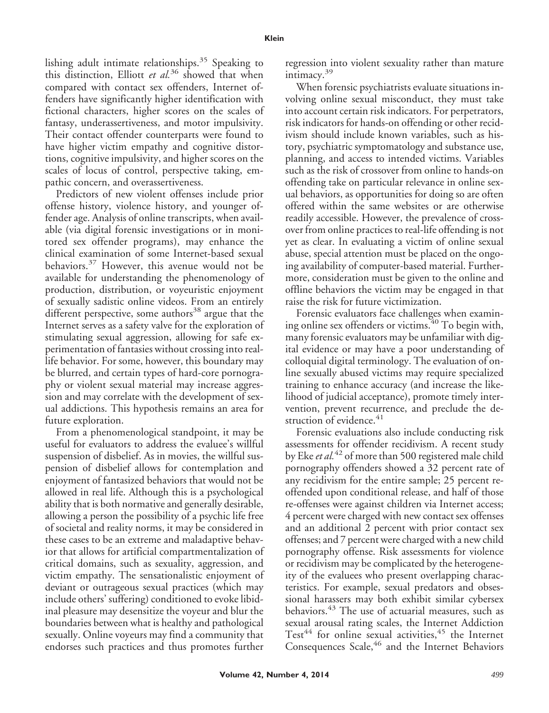lishing adult intimate relationships.<sup>35</sup> Speaking to this distinction, Elliott *et al.*<sup>36</sup> showed that when compared with contact sex offenders, Internet offenders have significantly higher identification with fictional characters, higher scores on the scales of fantasy, underassertiveness, and motor impulsivity. Their contact offender counterparts were found to have higher victim empathy and cognitive distortions, cognitive impulsivity, and higher scores on the scales of locus of control, perspective taking, empathic concern, and overassertiveness.

Predictors of new violent offenses include prior offense history, violence history, and younger offender age. Analysis of online transcripts, when available (via digital forensic investigations or in monitored sex offender programs), may enhance the clinical examination of some Internet-based sexual behaviors.<sup>37</sup> However, this avenue would not be available for understanding the phenomenology of production, distribution, or voyeuristic enjoyment of sexually sadistic online videos. From an entirely different perspective, some authors<sup>38</sup> argue that the Internet serves as a safety valve for the exploration of stimulating sexual aggression, allowing for safe experimentation of fantasies without crossing into reallife behavior. For some, however, this boundary may be blurred, and certain types of hard-core pornography or violent sexual material may increase aggression and may correlate with the development of sexual addictions. This hypothesis remains an area for future exploration.

From a phenomenological standpoint, it may be useful for evaluators to address the evaluee's willful suspension of disbelief. As in movies, the willful suspension of disbelief allows for contemplation and enjoyment of fantasized behaviors that would not be allowed in real life. Although this is a psychological ability that is both normative and generally desirable, allowing a person the possibility of a psychic life free of societal and reality norms, it may be considered in these cases to be an extreme and maladaptive behavior that allows for artificial compartmentalization of critical domains, such as sexuality, aggression, and victim empathy. The sensationalistic enjoyment of deviant or outrageous sexual practices (which may include others' suffering) conditioned to evoke libidinal pleasure may desensitize the voyeur and blur the boundaries between what is healthy and pathological sexually. Online voyeurs may find a community that endorses such practices and thus promotes further

regression into violent sexuality rather than mature intimacy.<sup>39</sup>

When forensic psychiatrists evaluate situations involving online sexual misconduct, they must take into account certain risk indicators. For perpetrators, risk indicators for hands-on offending or other recidivism should include known variables, such as history, psychiatric symptomatology and substance use, planning, and access to intended victims. Variables such as the risk of crossover from online to hands-on offending take on particular relevance in online sexual behaviors, as opportunities for doing so are often offered within the same websites or are otherwise readily accessible. However, the prevalence of crossover from online practices to real-life offending is not yet as clear. In evaluating a victim of online sexual abuse, special attention must be placed on the ongoing availability of computer-based material. Furthermore, consideration must be given to the online and offline behaviors the victim may be engaged in that raise the risk for future victimization.

Forensic evaluators face challenges when examining online sex offenders or victims.<sup>40</sup> To begin with, many forensic evaluators may be unfamiliar with digital evidence or may have a poor understanding of colloquial digital terminology. The evaluation of online sexually abused victims may require specialized training to enhance accuracy (and increase the likelihood of judicial acceptance), promote timely intervention, prevent recurrence, and preclude the destruction of evidence.<sup>41</sup>

Forensic evaluations also include conducting risk assessments for offender recidivism. A recent study by Eke*et al.*<sup>42</sup> of more than 500 registered male child pornography offenders showed a 32 percent rate of any recidivism for the entire sample; 25 percent reoffended upon conditional release, and half of those re-offenses were against children via Internet access; 4 percent were charged with new contact sex offenses and an additional 2 percent with prior contact sex offenses; and 7 percent were charged with a new child pornography offense. Risk assessments for violence or recidivism may be complicated by the heterogeneity of the evaluees who present overlapping characteristics. For example, sexual predators and obsessional harassers may both exhibit similar cybersex behaviors.<sup>43</sup> The use of actuarial measures, such as sexual arousal rating scales, the Internet Addiction Test<sup>44</sup> for online sexual activities,<sup>45</sup> the Internet Consequences Scale,<sup>46</sup> and the Internet Behaviors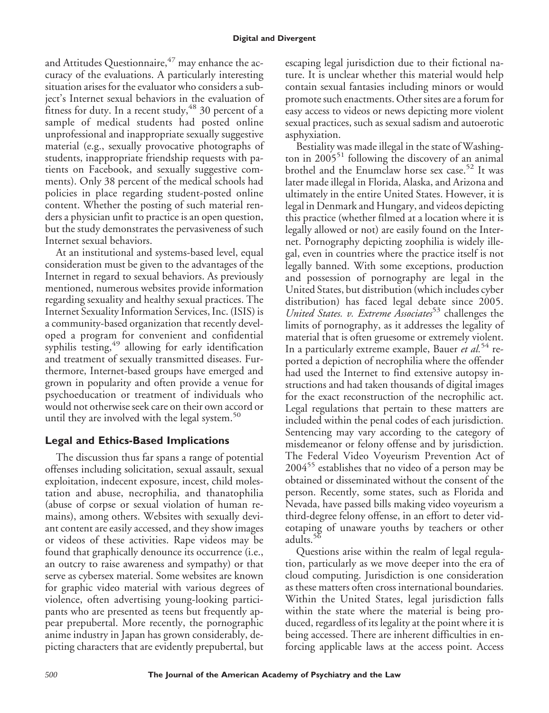and Attitudes Questionnaire,  $47$  may enhance the accuracy of the evaluations. A particularly interesting situation arises for the evaluator who considers a subject's Internet sexual behaviors in the evaluation of fitness for duty. In a recent study,  $48$  30 percent of a sample of medical students had posted online unprofessional and inappropriate sexually suggestive material (e.g., sexually provocative photographs of students, inappropriate friendship requests with patients on Facebook, and sexually suggestive comments). Only 38 percent of the medical schools had policies in place regarding student-posted online content. Whether the posting of such material renders a physician unfit to practice is an open question, but the study demonstrates the pervasiveness of such Internet sexual behaviors.

At an institutional and systems-based level, equal consideration must be given to the advantages of the Internet in regard to sexual behaviors. As previously mentioned, numerous websites provide information regarding sexuality and healthy sexual practices. The Internet Sexuality Information Services, Inc. (ISIS) is a community-based organization that recently developed a program for convenient and confidential syphilis testing,<sup>49</sup> allowing for early identification and treatment of sexually transmitted diseases. Furthermore, Internet-based groups have emerged and grown in popularity and often provide a venue for psychoeducation or treatment of individuals who would not otherwise seek care on their own accord or until they are involved with the legal system. $50$ 

# **Legal and Ethics-Based Implications**

The discussion thus far spans a range of potential offenses including solicitation, sexual assault, sexual exploitation, indecent exposure, incest, child molestation and abuse, necrophilia, and thanatophilia (abuse of corpse or sexual violation of human remains), among others. Websites with sexually deviant content are easily accessed, and they show images or videos of these activities. Rape videos may be found that graphically denounce its occurrence (i.e., an outcry to raise awareness and sympathy) or that serve as cybersex material. Some websites are known for graphic video material with various degrees of violence, often advertising young-looking participants who are presented as teens but frequently appear prepubertal. More recently, the pornographic anime industry in Japan has grown considerably, depicting characters that are evidently prepubertal, but escaping legal jurisdiction due to their fictional nature. It is unclear whether this material would help contain sexual fantasies including minors or would promote such enactments. Other sites are a forum for easy access to videos or news depicting more violent sexual practices, such as sexual sadism and autoerotic asphyxiation.

Bestiality was made illegal in the state of Washington in  $2005<sup>51</sup>$  following the discovery of an animal brothel and the Enumclaw horse sex case.<sup>52</sup> It was later made illegal in Florida, Alaska, and Arizona and ultimately in the entire United States. However, it is legal in Denmark and Hungary, and videos depicting this practice (whether filmed at a location where it is legally allowed or not) are easily found on the Internet. Pornography depicting zoophilia is widely illegal, even in countries where the practice itself is not legally banned. With some exceptions, production and possession of pornography are legal in the United States, but distribution (which includes cyber distribution) has faced legal debate since 2005. *United States. v. Extreme Associates*<sup>53</sup> challenges the limits of pornography, as it addresses the legality of material that is often gruesome or extremely violent. In a particularly extreme example, Bauer *et al.*<sup>54</sup> reported a depiction of necrophilia where the offender had used the Internet to find extensive autopsy instructions and had taken thousands of digital images for the exact reconstruction of the necrophilic act. Legal regulations that pertain to these matters are included within the penal codes of each jurisdiction. Sentencing may vary according to the category of misdemeanor or felony offense and by jurisdiction. The Federal Video Voyeurism Prevention Act of  $2004$ <sup>55</sup> establishes that no video of a person may be obtained or disseminated without the consent of the person. Recently, some states, such as Florida and Nevada, have passed bills making video voyeurism a third-degree felony offense, in an effort to deter videotaping of unaware youths by teachers or other adults. $56$ 

Questions arise within the realm of legal regulation, particularly as we move deeper into the era of cloud computing. Jurisdiction is one consideration as these matters often cross international boundaries. Within the United States, legal jurisdiction falls within the state where the material is being produced, regardless of its legality at the point where it is being accessed. There are inherent difficulties in enforcing applicable laws at the access point. Access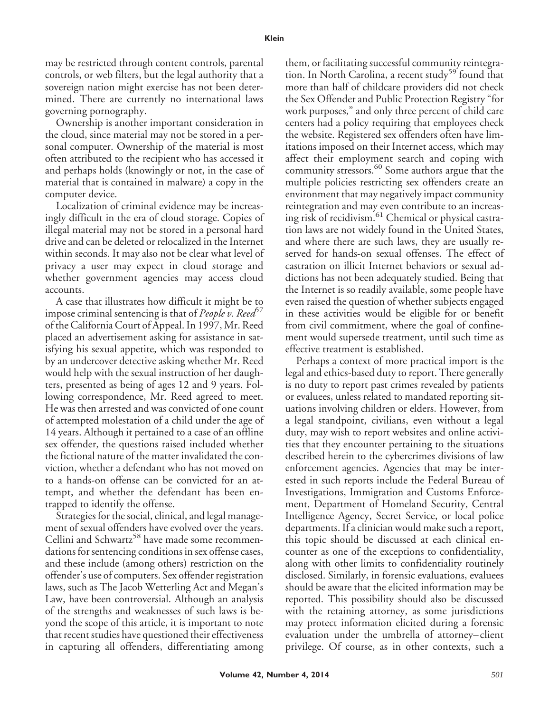may be restricted through content controls, parental controls, or web filters, but the legal authority that a sovereign nation might exercise has not been determined. There are currently no international laws governing pornography.

Ownership is another important consideration in the cloud, since material may not be stored in a personal computer. Ownership of the material is most often attributed to the recipient who has accessed it and perhaps holds (knowingly or not, in the case of material that is contained in malware) a copy in the computer device.

Localization of criminal evidence may be increasingly difficult in the era of cloud storage. Copies of illegal material may not be stored in a personal hard drive and can be deleted or relocalized in the Internet within seconds. It may also not be clear what level of privacy a user may expect in cloud storage and whether government agencies may access cloud accounts.

A case that illustrates how difficult it might be to impose criminal sentencing is that of *People v. Reed*<sup>57</sup> of the California Court of Appeal. In 1997, Mr. Reed placed an advertisement asking for assistance in satisfying his sexual appetite, which was responded to by an undercover detective asking whether Mr. Reed would help with the sexual instruction of her daughters, presented as being of ages 12 and 9 years. Following correspondence, Mr. Reed agreed to meet. He was then arrested and was convicted of one count of attempted molestation of a child under the age of 14 years. Although it pertained to a case of an offline sex offender, the questions raised included whether the fictional nature of the matter invalidated the conviction, whether a defendant who has not moved on to a hands-on offense can be convicted for an attempt, and whether the defendant has been entrapped to identify the offense.

Strategies for the social, clinical, and legal management of sexual offenders have evolved over the years. Cellini and Schwartz<sup>58</sup> have made some recommendations for sentencing conditions in sex offense cases, and these include (among others) restriction on the offender's use of computers. Sex offender registration laws, such as The Jacob Wetterling Act and Megan's Law, have been controversial. Although an analysis of the strengths and weaknesses of such laws is beyond the scope of this article, it is important to note that recent studies have questioned their effectiveness in capturing all offenders, differentiating among

them, or facilitating successful community reintegration. In North Carolina, a recent study<sup>59</sup> found that more than half of childcare providers did not check the Sex Offender and Public Protection Registry "for work purposes," and only three percent of child care centers had a policy requiring that employees check the website. Registered sex offenders often have limitations imposed on their Internet access, which may affect their employment search and coping with community stressors.<sup>60</sup> Some authors argue that the multiple policies restricting sex offenders create an environment that may negatively impact community reintegration and may even contribute to an increasing risk of recidivism.<sup>61</sup> Chemical or physical castration laws are not widely found in the United States, and where there are such laws, they are usually reserved for hands-on sexual offenses. The effect of castration on illicit Internet behaviors or sexual addictions has not been adequately studied. Being that the Internet is so readily available, some people have even raised the question of whether subjects engaged in these activities would be eligible for or benefit from civil commitment, where the goal of confinement would supersede treatment, until such time as effective treatment is established.

Perhaps a context of more practical import is the legal and ethics-based duty to report. There generally is no duty to report past crimes revealed by patients or evaluees, unless related to mandated reporting situations involving children or elders. However, from a legal standpoint, civilians, even without a legal duty, may wish to report websites and online activities that they encounter pertaining to the situations described herein to the cybercrimes divisions of law enforcement agencies. Agencies that may be interested in such reports include the Federal Bureau of Investigations, Immigration and Customs Enforcement, Department of Homeland Security, Central Intelligence Agency, Secret Service, or local police departments. If a clinician would make such a report, this topic should be discussed at each clinical encounter as one of the exceptions to confidentiality, along with other limits to confidentiality routinely disclosed. Similarly, in forensic evaluations, evaluees should be aware that the elicited information may be reported. This possibility should also be discussed with the retaining attorney, as some jurisdictions may protect information elicited during a forensic evaluation under the umbrella of attorney– client privilege. Of course, as in other contexts, such a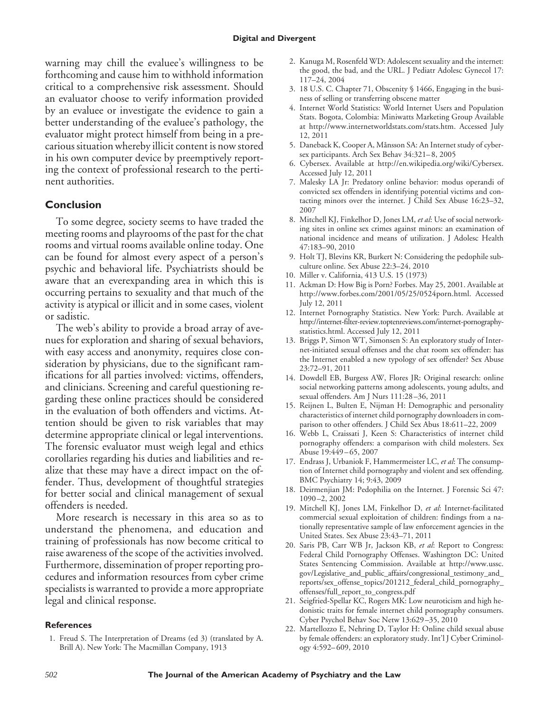warning may chill the evaluee's willingness to be forthcoming and cause him to withhold information critical to a comprehensive risk assessment. Should an evaluator choose to verify information provided by an evaluee or investigate the evidence to gain a better understanding of the evaluee's pathology, the evaluator might protect himself from being in a precarious situation whereby illicit content is now stored in his own computer device by preemptively reporting the context of professional research to the pertinent authorities.

# **Conclusion**

To some degree, society seems to have traded the meeting rooms and playrooms of the past for the chat rooms and virtual rooms available online today. One can be found for almost every aspect of a person's psychic and behavioral life. Psychiatrists should be aware that an everexpanding area in which this is occurring pertains to sexuality and that much of the activity is atypical or illicit and in some cases, violent or sadistic.

The web's ability to provide a broad array of avenues for exploration and sharing of sexual behaviors, with easy access and anonymity, requires close consideration by physicians, due to the significant ramifications for all parties involved: victims, offenders, and clinicians. Screening and careful questioning regarding these online practices should be considered in the evaluation of both offenders and victims. Attention should be given to risk variables that may determine appropriate clinical or legal interventions. The forensic evaluator must weigh legal and ethics corollaries regarding his duties and liabilities and realize that these may have a direct impact on the offender. Thus, development of thoughtful strategies for better social and clinical management of sexual offenders is needed.

More research is necessary in this area so as to understand the phenomena, and education and training of professionals has now become critical to raise awareness of the scope of the activities involved. Furthermore, dissemination of proper reporting procedures and information resources from cyber crime specialists is warranted to provide a more appropriate legal and clinical response.

#### **References**

1. Freud S. The Interpretation of Dreams (ed 3) (translated by A. Brill A). New York: The Macmillan Company, 1913

- 2. Kanuga M, Rosenfeld WD: Adolescent sexuality and the internet: the good, the bad, and the URL. J Pediatr Adolesc Gynecol 17: 117–24, 2004
- 3. 18 U.S. C. Chapter 71, Obscenity § 1466, Engaging in the business of selling or transferring obscene matter
- 4. Internet World Statistics: World Internet Users and Population Stats. Bogota, Colombia: Miniwatts Marketing Group Available at http://www.internetworldstats.com/stats.htm. Accessed July 12, 2011
- 5. Daneback K, Cooper A, Månsson SA: An Internet study of cybersex participants. Arch Sex Behav 34:321– 8, 2005
- 6. Cybersex. Available at http://en.wikipedia.org/wiki/Cybersex. Accessed July 12, 2011
- 7. Malesky LA Jr: Predatory online behavior: modus operandi of convicted sex offenders in identifying potential victims and contacting minors over the internet. J Child Sex Abuse 16:23–32, 2007
- 8. Mitchell KJ, Finkelhor D, Jones LM, *et al*: Use of social networking sites in online sex crimes against minors: an examination of national incidence and means of utilization. J Adolesc Health 47:183–90, 2010
- 9. Holt TJ, Blevins KR, Burkert N: Considering the pedophile subculture online. Sex Abuse 22:3–24, 2010
- 10. Miller v. California, 413 U.S. 15 (1973)
- 11. Ackman D: How Big is Porn? Forbes. May 25, 2001. Available at http://www.forbes.com/2001/05/25/0524porn.html. Accessed July 12, 2011
- 12. Internet Pornography Statistics. New York: Purch. Available at [http://internet-filter-review.toptenreviews.com/internet-pornography](http://internet-filter-review.toptenreviews.com/internet-pornography-statistics.html)[statistics.html.](http://internet-filter-review.toptenreviews.com/internet-pornography-statistics.html) Accessed July 12, 2011
- 13. Briggs P, Simon WT, Simonsen S: An exploratory study of Internet-initiated sexual offenses and the chat room sex offender: has the Internet enabled a new typology of sex offender? Sex Abuse 23:72–91, 2011
- 14. Dowdell EB, Burgess AW, Flores JR: Original research: online social networking patterns among adolescents, young adults, and sexual offenders. Am J Nurs 111:28 –36, 2011
- 15. Reijnen L, Bulten E, Nijman H: Demographic and personality characteristics of internet child pornography downloaders in comparison to other offenders. J Child Sex Abus 18:611–22, 2009
- 16. Webb L, Craissati J, Keen S: Characteristics of internet child pornography offenders: a comparison with child molesters. Sex Abuse 19:449-65, 2007
- 17. Endrass J, Urbaniok F, Hammermeister LC, *et al*: The consumption of Internet child pornography and violent and sex offending. BMC Psychiatry 14; 9:43, 2009
- 18. Deirmenjian JM: Pedophilia on the Internet. J Forensic Sci 47: 1090 –2, 2002
- 19. Mitchell KJ, Jones LM, Finkelhor D, *et al*: Internet-facilitated commercial sexual exploitation of children: findings from a nationally representative sample of law enforcement agencies in the United States. Sex Abuse 23:43–71, 2011
- 20. Saris PB, Carr WB Jr, Jackson KB, *et al*: Report to Congress: Federal Child Pornography Offenses. Washington DC: United States Sentencing Commission. Available at [http://www.ussc.](http://www.ussc.gov/Legislative_and_public_affairs/congressional_testimony_and_reports/sex_offense_topics/201212_federal_child_pornography_offenses/full_report_to_congress.pdf) [gov/Legislative\\_and\\_public\\_affairs/congressional\\_testimony\\_and\\_](http://www.ussc.gov/Legislative_and_public_affairs/congressional_testimony_and_reports/sex_offense_topics/201212_federal_child_pornography_offenses/full_report_to_congress.pdf) [reports/sex\\_offense\\_topics/201212\\_federal\\_child\\_pornography\\_](http://www.ussc.gov/Legislative_and_public_affairs/congressional_testimony_and_reports/sex_offense_topics/201212_federal_child_pornography_offenses/full_report_to_congress.pdf) [offenses/full\\_report\\_to\\_congress.pdf](http://www.ussc.gov/Legislative_and_public_affairs/congressional_testimony_and_reports/sex_offense_topics/201212_federal_child_pornography_offenses/full_report_to_congress.pdf)
- 21. Seigfried-Spellar KC, Rogers MK: Low neuroticism and high hedonistic traits for female internet child pornography consumers. Cyber Psychol Behav Soc Netw 13:629 –35, 2010
- 22. Martellozzo E, Nehring D, Taylor H: Online child sexual abuse by female offenders: an exploratory study. Int'l J Cyber Criminology 4:592– 609, 2010